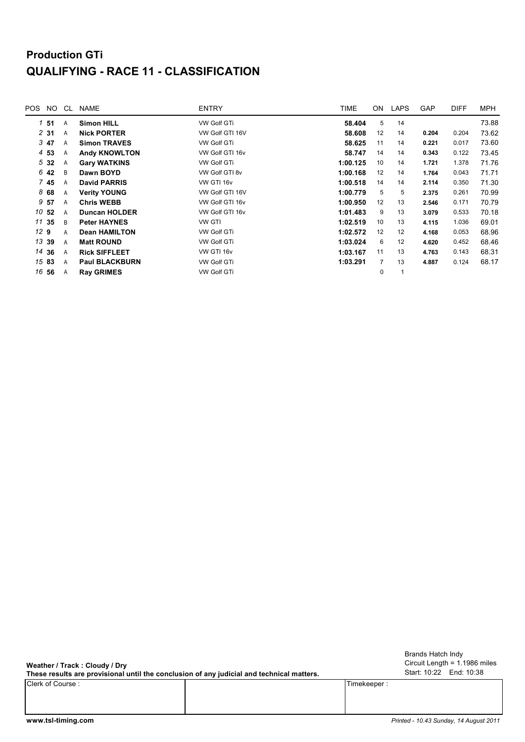## **Production GTi QUALIFYING - RACE 11 - CLASSIFICATION**

| POS | NO.     | CL. | <b>NAME</b>           | <b>ENTRY</b>       | TIME     | ON             | <b>LAPS</b> | <b>GAP</b> | <b>DIFF</b> | <b>MPH</b> |
|-----|---------|-----|-----------------------|--------------------|----------|----------------|-------------|------------|-------------|------------|
|     | $1\,51$ | A   | <b>Simon HILL</b>     | <b>VW Golf GTi</b> | 58.404   | 5              | 14          |            |             | 73.88      |
|     | 231     | A   | <b>Nick PORTER</b>    | VW Golf GTI 16V    | 58.608   | 12             | 14          | 0.204      | 0.204       | 73.62      |
|     | 3 47    | A   | <b>Simon TRAVES</b>   | <b>VW Golf GTi</b> | 58.625   | 11             | 14          | 0.221      | 0.017       | 73.60      |
|     | 4 53    | Α   | <b>Andy KNOWLTON</b>  | VW Golf GTI 16v    | 58.747   | 14             | 14          | 0.343      | 0.122       | 73.45      |
|     | 532     | A   | <b>Gary WATKINS</b>   | <b>VW Golf GTi</b> | 1:00.125 | 10             | 14          | 1.721      | 1.378       | 71.76      |
|     | 6 42    | B   | Dawn BOYD             | VW Golf GTI 8v     | 1:00.168 | 12             | 14          | 1.764      | 0.043       | 71.71      |
|     | 7 45    | A   | <b>David PARRIS</b>   | VW GTI 16v         | 1:00.518 | 14             | 14          | 2.114      | 0.350       | 71.30      |
|     | 868     | A   | <b>Verity YOUNG</b>   | VW Golf GTI 16V    | 1:00.779 | 5              | 5           | 2.375      | 0.261       | 70.99      |
| 9   | 57      | A   | <b>Chris WEBB</b>     | VW Golf GTI 16v    | 1:00.950 | 12             | 13          | 2.546      | 0.171       | 70.79      |
|     | 10 52   | A   | <b>Duncan HOLDER</b>  | VW Golf GTI 16v    | 1:01.483 | 9              | 13          | 3.079      | 0.533       | 70.18      |
|     | 11 35   | B   | <b>Peter HAYNES</b>   | <b>VW GTI</b>      | 1:02.519 | 10             | 13          | 4.115      | 1.036       | 69.01      |
| 129 |         | A   | <b>Dean HAMILTON</b>  | <b>VW Golf GTi</b> | 1:02.572 | 12             | 12          | 4.168      | 0.053       | 68.96      |
|     | 13 39   | A   | <b>Matt ROUND</b>     | <b>VW Golf GTi</b> | 1:03.024 | 6              | 12          | 4.620      | 0.452       | 68.46      |
|     | 14 36   | A   | <b>Rick SIFFLEET</b>  | VW GTI 16v         | 1:03.167 | 11             | 13          | 4.763      | 0.143       | 68.31      |
|     | 15 83   | A   | <b>Paul BLACKBURN</b> | <b>VW Golf GTi</b> | 1:03.291 | $\overline{7}$ | 13          | 4.887      | 0.124       | 68.17      |
|     | 16 56   | A   | <b>Ray GRIMES</b>     | <b>VW Golf GTi</b> |          | $\mathbf 0$    | 1           |            |             |            |
|     |         |     |                       |                    |          |                |             |            |             |            |

**Weather / Track : Cloudy / Dry**

**These results are provisional until the conclusion of any judicial and technical matters.**

Clerk of Course : Timekeeper :

Circuit Length = 1.1986 miles Start: 10:22 End: 10:38 Brands Hatch Indy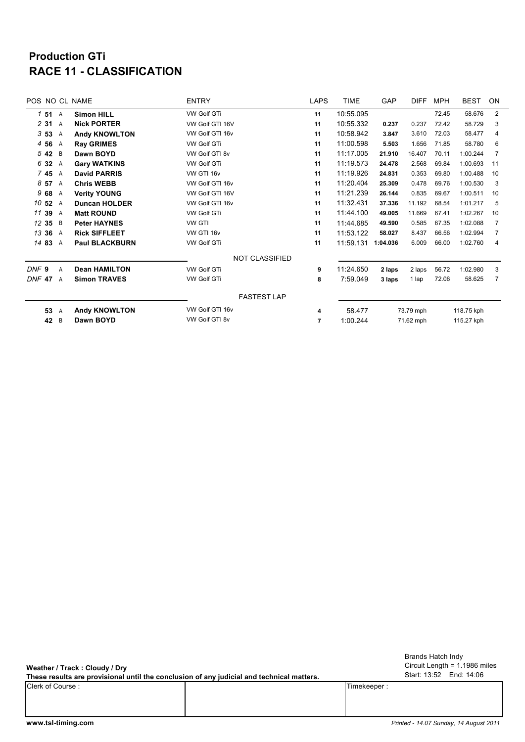## **RACE 11 - CLASSIFICATION Production GTi**

|                  |       |   | POS NO CL NAME        | <b>ENTRY</b>          | <b>LAPS</b>    | <b>TIME</b> | GAP                     | <b>DIFF</b> | <b>MPH</b> | <b>BEST</b> | ON             |
|------------------|-------|---|-----------------------|-----------------------|----------------|-------------|-------------------------|-------------|------------|-------------|----------------|
|                  | 151 A |   | <b>Simon HILL</b>     | <b>VW Golf GTi</b>    | 11             | 10:55.095   |                         |             | 72.45      | 58.676      | $\overline{2}$ |
|                  | 2 31  | A | <b>Nick PORTER</b>    | VW Golf GTI 16V       | 11             | 10:55.332   | 0.237                   | 0.237       | 72.42      | 58.729      | 3              |
|                  | 353   | Α | <b>Andy KNOWLTON</b>  | VW Golf GTI 16v       | 11             | 10:58.942   | 3.847                   | 3.610       | 72.03      | 58.477      | 4              |
|                  | 4 5 6 | A | <b>Ray GRIMES</b>     | <b>VW Golf GTi</b>    | 11             | 11:00.598   | 5.503                   | 1.656       | 71.85      | 58.780      | 6              |
|                  | 542   | B | Dawn BOYD             | VW Golf GTI 8v        | 11             | 11:17.005   | 21.910                  | 16.407      | 70.11      | 1:00.244    | 7              |
|                  | 6 32  | A | <b>Gary WATKINS</b>   | VW Golf GTi           | 11             | 11:19.573   | 24.478                  | 2.568       | 69.84      | 1:00.693    | 11             |
|                  | 745   | A | <b>David PARRIS</b>   | VW GTI 16v            | 11             | 11:19.926   | 24.831                  | 0.353       | 69.80      | 1:00.488    | 10             |
|                  | 857   | A | <b>Chris WEBB</b>     | VW Golf GTI 16v       | 11             | 11:20.404   | 25.309                  | 0.478       | 69.76      | 1:00.530    | 3              |
|                  | 968   | A | <b>Verity YOUNG</b>   | VW Golf GTI 16V       | 11             | 11:21.239   | 26.144                  | 0.835       | 69.67      | 1:00.511    | 10             |
| 10 52            |       | A | <b>Duncan HOLDER</b>  | VW Golf GTI 16v       | 11             | 11:32.431   | 37.336                  | 11.192      | 68.54      | 1:01.217    | 5              |
| 11 39            |       | A | <b>Matt ROUND</b>     | <b>VW Golf GTi</b>    | 11             | 11:44.100   | 49.005                  | 11.669      | 67.41      | 1:02.267    | 10             |
| 12 35            |       | B | <b>Peter HAYNES</b>   | <b>VW GTI</b>         | 11             | 11:44.685   | 49.590                  | 0.585       | 67.35      | 1:02.088    | $\overline{7}$ |
| 13 36            |       | A | <b>Rick SIFFLEET</b>  | VW GTI 16v            | 11             | 11:53.122   | 58.027                  | 8.437       | 66.56      | 1:02.994    | 7              |
| 14 83            |       | A | <b>Paul BLACKBURN</b> | VW Golf GTi           | 11             | 11:59.131   | 1:04.036                | 6.009       | 66.00      | 1:02.760    | 4              |
|                  |       |   |                       | <b>NOT CLASSIFIED</b> |                |             |                         |             |            |             |                |
| DNF <sub>9</sub> |       | A | <b>Dean HAMILTON</b>  | VW Golf GTi           | 9              | 11:24.650   | 2 laps                  | 2 laps      | 56.72      | 1:02.980    | 3              |
| DNF 47           |       | A | <b>Simon TRAVES</b>   | VW Golf GTi           | 8              | 7:59.049    | 3 laps                  | 1 lap       | 72.06      | 58.625      | 7              |
|                  |       |   |                       | <b>FASTEST LAP</b>    |                |             |                         |             |            |             |                |
|                  | 53    | A | <b>Andy KNOWLTON</b>  | VW Golf GTI 16v       | 4              | 58.477      | 73.79 mph               |             | 118.75 kph |             |                |
|                  | 42    | B | Dawn BOYD             | VW Golf GTI 8v        | $\overline{7}$ | 1:00.244    | 71.62 mph<br>115.27 kph |             |            |             |                |

**Weather / Track : Cloudy / Dry**

Clerk of Course : Timekeeper : Timekeeper : Timekeeper : Timekeeper : Timekeeper : Timekeeper : Timekeeper : Timekeeper : Timekeeper : Timekeeper : Timekeeper : Timekeeper : Timekeeper : Timekeeper : Timekeeper : Timekeepe **These results are provisional until the conclusion of any judicial and technical matters.**

Circuit Length = 1.1986 miles Start: 13:52 End: 14:06 Brands Hatch Indy